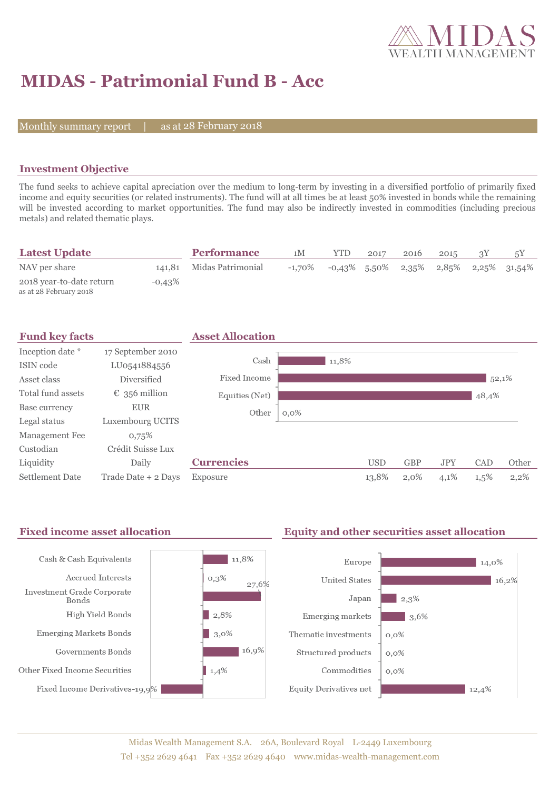

## **MIDAS - Patrimonial Fund B - Acc**

Monthly summary report

28 February 2018

### **Investment Objective**

The fund seeks to achieve capital apreciation over the medium to long-term by investing in a diversified portfolio of primarily fixed income and equity securities (or related instruments). The fund will at all times be at least 50% invested in bonds while the remaining will be invested according to market opportunities. The fund may also be indirectly invested in commodities (including precious metals) and related thematic plays.

| <b>Latest Update</b>                               |           | <b>Performance</b>       | 1 <sub>M</sub> | <b>YTD</b> | 2017            | 2016 | 2015 |                                      |
|----------------------------------------------------|-----------|--------------------------|----------------|------------|-----------------|------|------|--------------------------------------|
| NAV per share                                      |           | 141,81 Midas Patrimonial | $-1.70\%$      |            | $-0.43\%$ 5.50% |      |      | $2,35\%$ $2,85\%$ $2,25\%$ $31,54\%$ |
| 2018 year-to-date return<br>as at 28 February 2018 | $-0.43\%$ |                          |                |            |                 |      |      |                                      |



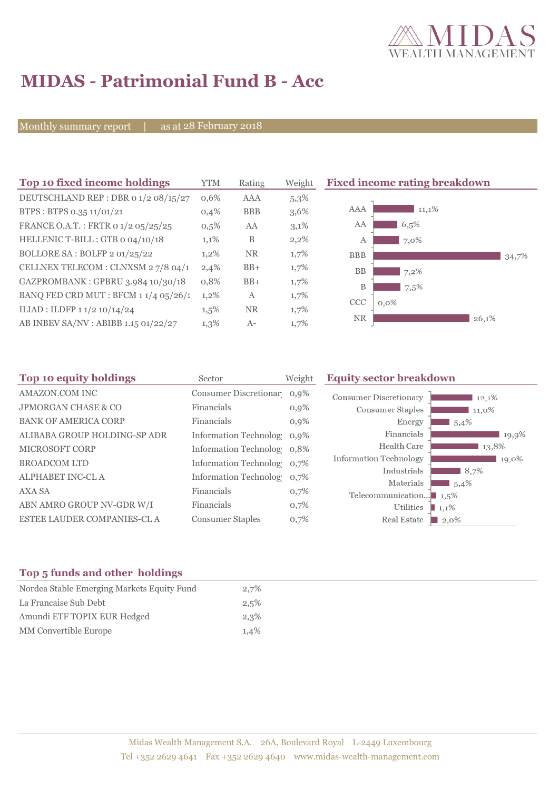

# **MIDAS - Patrimonial Fund B - Acc**

Monthly summary report | as at 28 February 2018

| Top 10 fixed income holdings           | <b>YTM</b> | Rating     | Weight  | <b>Fixed income rating breakdown</b> |
|----------------------------------------|------------|------------|---------|--------------------------------------|
| DEUTSCHLAND REP : DBR 0 1/2 08/15/27   | 0,6%       | AAA        | $5,3\%$ |                                      |
| BTPS: BTPS 0.35 11/01/21               | 0,4%       | <b>BBB</b> | 3,6%    | AAA<br>11,1%                         |
| FRANCE O.A.T.: FRTR 0 1/2 05/25/25     | $0,5\%$    | AA         | 3,1%    | AA<br>6,5%                           |
| HELLENIC T-BILL: GTB 0 04/10/18        | 1,1%       | B          | 2,2%    | 7,0%<br>A                            |
| BOLLORE SA: BOLFP 2 01/25/22           | $1,2\%$    | <b>NR</b>  | $1,7\%$ | <b>BBB</b><br>34,7%                  |
| CELLNEX TELECOM : CLNXSM 27/8 04/1     | 2,4%       | $BB+$      | 1,7%    | BB<br>7,2%                           |
| GAZPROMBANK: GPBRU 3.984 10/30/18      | 0,8%       | $BB+$      | 1,7%    | B<br>7,5%                            |
| BANQ FED CRD MUT : BFCM $11/4$ 05/26/2 | $1,2\%$    | A          | 1,7%    | <b>CCC</b><br>$0.0\%$                |
| ILIAD : ILDFP 1 1/2 10/14/24           | $1,5\%$    | <b>NR</b>  | $1,7\%$ |                                      |
| AB INBEV SA/NV : ABIBB 1.15 01/22/27   | $1,3\%$    | $A-$       | 1,7%    | NR.<br>26,1%                         |

| Top 10 equity holdings         | Sector                     | Weight  | <b>Equity sector breakdown</b>                     |        |
|--------------------------------|----------------------------|---------|----------------------------------------------------|--------|
| AMAZON.COM INC                 | Consumer Discretionar 0,9% |         | <b>Consumer Discretionary</b>                      | 12,1%  |
| <b>JPMORGAN CHASE &amp; CO</b> | Financials                 | $0,9\%$ | Consumer Staples                                   | 11,0%  |
| <b>BANK OF AMERICA CORP</b>    | Financials                 | $0,9\%$ | Energy                                             | 1,5,4% |
| ALIBABA GROUP HOLDING-SP ADR   | Information Technolog 0,9% |         | Financials                                         | 19,9%  |
| <b>MICROSOFT CORP</b>          | Information Technolog 0,8% |         | Health Care                                        | 13,8%  |
| <b>BROADCOM LTD</b>            | Information Technolog 0,7% |         | <b>Information Technology</b>                      | 19,0%  |
| <b>ALPHABET INC-CLA</b>        | Information Technolog 0,7% |         | Industrials                                        | 8,7%   |
| AXA SA                         | Financials                 | 0,7%    | Materials                                          | 5,4%   |
| ABN AMRO GROUP NV-GDR W/I      | Financials                 | 0,7%    | Telecommunication $\blacksquare$ 1,5%<br>Utilities |        |
| ESTEE LAUDER COMPANIES-CL A    | <b>Consumer Staples</b>    | 0,7%    | $\blacksquare$ 1,1%<br>Real Estate<br>$\Box$ 2,0%  |        |
|                                |                            |         |                                                    |        |

### **Top 5 funds and other holdings**

| Nordea Stable Emerging Markets Equity Fund | 2,7% |
|--------------------------------------------|------|
| La Francaise Sub Debt                      | 2,5% |
| Amundi ETF TOPIX EUR Hedged                | 2,3% |
| <b>MM</b> Convertible Europe               | 1,4% |
|                                            |      |